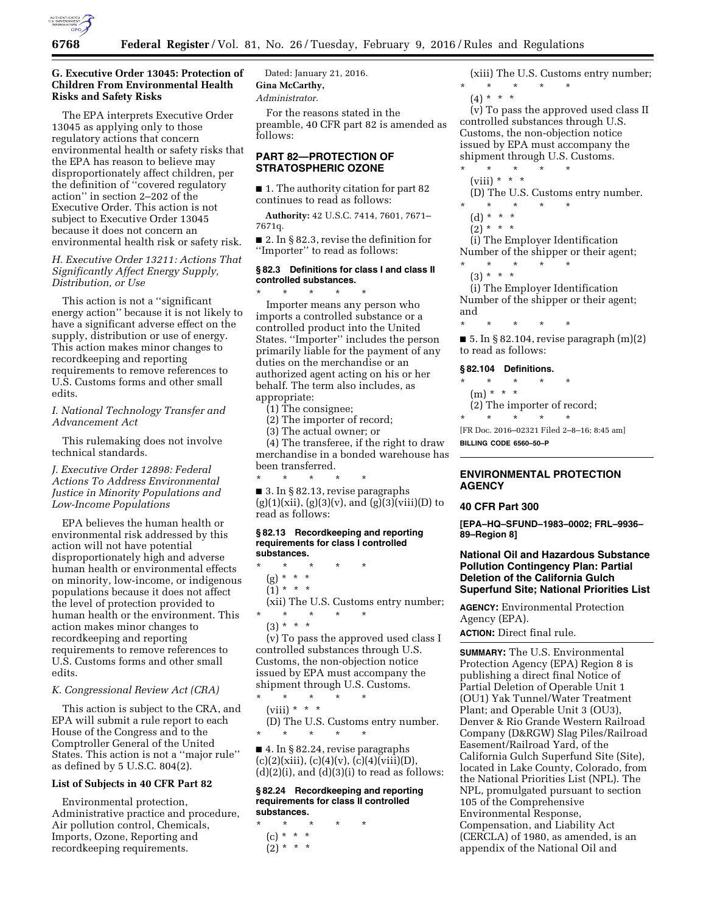

## **G. Executive Order 13045: Protection of Children From Environmental Health Risks and Safety Risks**

The EPA interprets Executive Order 13045 as applying only to those regulatory actions that concern environmental health or safety risks that the EPA has reason to believe may disproportionately affect children, per the definition of ''covered regulatory action'' in section 2–202 of the Executive Order. This action is not subject to Executive Order 13045 because it does not concern an environmental health risk or safety risk.

*H. Executive Order 13211: Actions That Significantly Affect Energy Supply, Distribution, or Use* 

This action is not a ''significant energy action'' because it is not likely to have a significant adverse effect on the supply, distribution or use of energy. This action makes minor changes to recordkeeping and reporting requirements to remove references to U.S. Customs forms and other small edits.

*I. National Technology Transfer and Advancement Act* 

This rulemaking does not involve technical standards.

*J. Executive Order 12898: Federal Actions To Address Environmental Justice in Minority Populations and Low-Income Populations* 

EPA believes the human health or environmental risk addressed by this action will not have potential disproportionately high and adverse human health or environmental effects on minority, low-income, or indigenous populations because it does not affect the level of protection provided to human health or the environment. This action makes minor changes to recordkeeping and reporting requirements to remove references to U.S. Customs forms and other small edits.

*K. Congressional Review Act (CRA)* 

This action is subject to the CRA, and EPA will submit a rule report to each House of the Congress and to the Comptroller General of the United States. This action is not a ''major rule'' as defined by 5 U.S.C. 804(2).

### **List of Subjects in 40 CFR Part 82**

Environmental protection, Administrative practice and procedure, Air pollution control, Chemicals, Imports, Ozone, Reporting and recordkeeping requirements.

Dated: January 21, 2016. **Gina McCarthy,**  *Administrator.* 

For the reasons stated in the preamble, 40 CFR part 82 is amended as follows:

## **PART 82—PROTECTION OF STRATOSPHERIC OZONE**

■ 1. The authority citation for part 82 continues to read as follows:

**Authority:** 42 U.S.C. 7414, 7601, 7671– 7671q.

■ 2. In § 82.3, revise the definition for ''Importer'' to read as follows:

#### **§ 82.3 Definitions for class I and class II controlled substances.**

\* \* \* \* \* Importer means any person who imports a controlled substance or a controlled product into the United States. ''Importer'' includes the person primarily liable for the payment of any duties on the merchandise or an authorized agent acting on his or her behalf. The term also includes, as appropriate:

(1) The consignee;

(2) The importer of record;

(3) The actual owner; or

(4) The transferee, if the right to draw merchandise in a bonded warehouse has been transferred.

\* \* \* \* \* ■ 3. In § 82.13, revise paragraphs  $(g)(1)(xii)$ ,  $(g)(3)(v)$ , and  $(g)(3)(viii)(D)$  to read as follows:

#### **§ 82.13 Recordkeeping and reporting requirements for class I controlled substances.**

\* \* \* \* \* (g) \* \* \*  $(1) * * * *$ (xii) The U.S. Customs entry number; \* \* \* \* \*  $(3) * * * *$ (v) To pass the approved used class I

controlled substances through U.S. Customs, the non-objection notice issued by EPA must accompany the shipment through U.S. Customs.

\* \* \* \* \* (viii) \* \* \* (D) The U.S. Customs entry number.

\* \* \* \* \*

■ 4. In § 82.24, revise paragraphs  $(c)(2)(xiii), (c)(4)(v), (c)(4)(viii)(D),$  $(d)(2)(i)$ , and  $(d)(3)(i)$  to read as follows:

### **§ 82.24 Recordkeeping and reporting requirements for class II controlled substances.**

\* \* \* \* \* (c) \* \* \*  $(2) * * * *$ 

(xiii) The U.S. Customs entry number; \* \* \* \* \*

 $(4) * * * *$ 

(v) To pass the approved used class II controlled substances through U.S. Customs, the non-objection notice issued by EPA must accompany the shipment through U.S. Customs.

\* \* \* \* \* (viii) \* \* \*

- (D) The U.S. Customs entry number.
- \* \* \* \* \*
- (d) \* \* \*
- $(2) * * * *$

(i) The Employer Identification Number of the shipper or their agent;

\* \* \* \* \*  $(3) * * * *$ 

(i) The Employer Identification Number of the shipper or their agent; and

\* \* \* \* \*

 $\blacksquare$  5. In § 82.104, revise paragraph  $(m)(2)$ to read as follows:

### **§ 82.104 Definitions.**

\* \* \* \* \* (m) \* \* \*

(2) The importer of record;

\* \* \* \* \*

[FR Doc. 2016–02321 Filed 2–8–16; 8:45 am] **BILLING CODE 6560–50–P** 

## **ENVIRONMENTAL PROTECTION AGENCY**

### **40 CFR Part 300**

**[EPA–HQ–SFUND–1983–0002; FRL–9936– 89–Region 8]** 

## **National Oil and Hazardous Substance Pollution Contingency Plan: Partial Deletion of the California Gulch Superfund Site; National Priorities List**

**AGENCY:** Environmental Protection Agency (EPA).

**ACTION:** Direct final rule.

**SUMMARY:** The U.S. Environmental Protection Agency (EPA) Region 8 is publishing a direct final Notice of Partial Deletion of Operable Unit 1 (OU1) Yak Tunnel/Water Treatment Plant; and Operable Unit 3 (OU3), Denver & Rio Grande Western Railroad Company (D&RGW) Slag Piles/Railroad Easement/Railroad Yard, of the California Gulch Superfund Site (Site), located in Lake County, Colorado, from the National Priorities List (NPL). The NPL, promulgated pursuant to section 105 of the Comprehensive Environmental Response, Compensation, and Liability Act (CERCLA) of 1980, as amended, is an appendix of the National Oil and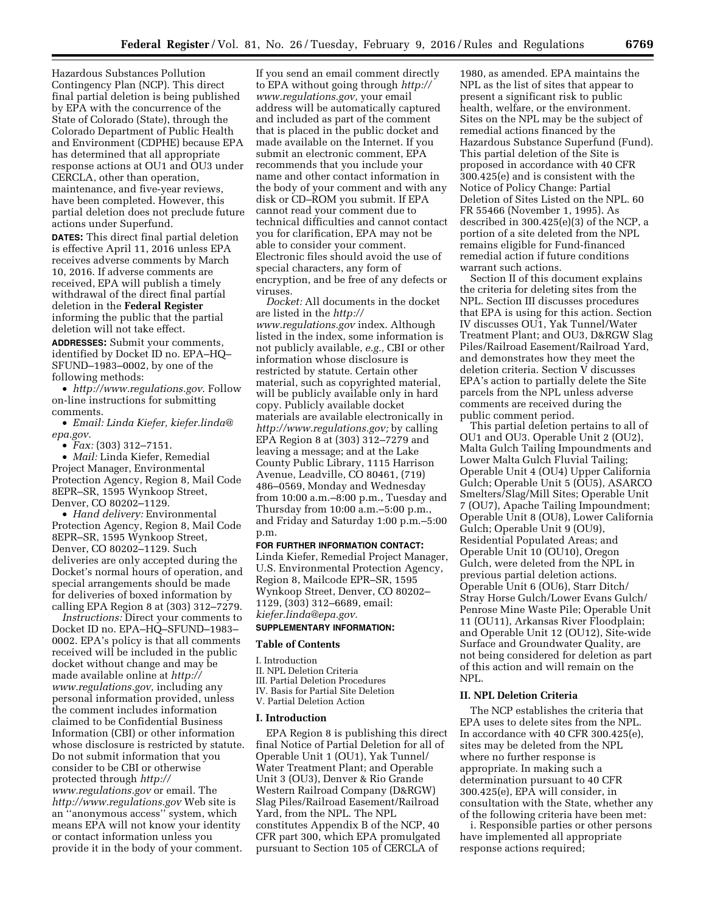Hazardous Substances Pollution Contingency Plan (NCP). This direct final partial deletion is being published by EPA with the concurrence of the State of Colorado (State), through the Colorado Department of Public Health and Environment (CDPHE) because EPA has determined that all appropriate response actions at OU1 and OU3 under CERCLA, other than operation, maintenance, and five-year reviews, have been completed. However, this partial deletion does not preclude future actions under Superfund.

**DATES:** This direct final partial deletion is effective April 11, 2016 unless EPA receives adverse comments by March 10, 2016. If adverse comments are received, EPA will publish a timely withdrawal of the direct final partial deletion in the **Federal Register**  informing the public that the partial deletion will not take effect.

**ADDRESSES:** Submit your comments, identified by Docket ID no. EPA–HQ– SFUND–1983–0002, by one of the following methods:

• *<http://www.regulations.gov>*. Follow on-line instructions for submitting comments.

• *Email: Linda Kiefer[, kiefer.linda@](mailto:kiefer.linda@epa.gov) [epa.gov.](mailto:kiefer.linda@epa.gov)* 

• *Fax:* (303) 312–7151.

• *Mail:* Linda Kiefer, Remedial Project Manager, Environmental Protection Agency, Region 8, Mail Code 8EPR–SR, 1595 Wynkoop Street, Denver, CO 80202–1129.

• *Hand delivery:* Environmental Protection Agency, Region 8, Mail Code 8EPR–SR, 1595 Wynkoop Street, Denver, CO 80202–1129. Such deliveries are only accepted during the Docket's normal hours of operation, and special arrangements should be made for deliveries of boxed information by calling EPA Region 8 at (303) 312–7279.

*Instructions:* Direct your comments to Docket ID no. EPA–HQ–SFUND–1983– 0002. EPA's policy is that all comments received will be included in the public docket without change and may be made available online at *[http://](http://www.regulations.gov) [www.regulations.gov,](http://www.regulations.gov)* including any personal information provided, unless the comment includes information claimed to be Confidential Business Information (CBI) or other information whose disclosure is restricted by statute. Do not submit information that you consider to be CBI or otherwise protected through *[http://](http://www.regulations.gov) [www.regulations.gov](http://www.regulations.gov)* or email. The *<http://www.regulations.gov>* Web site is

an ''anonymous access'' system, which means EPA will not know your identity or contact information unless you provide it in the body of your comment.

If you send an email comment directly to EPA without going through *[http://](http://www.regulations.gov) [www.regulations.gov,](http://www.regulations.gov)* your email address will be automatically captured and included as part of the comment that is placed in the public docket and made available on the Internet. If you submit an electronic comment, EPA recommends that you include your name and other contact information in the body of your comment and with any disk or CD–ROM you submit. If EPA cannot read your comment due to technical difficulties and cannot contact you for clarification, EPA may not be able to consider your comment. Electronic files should avoid the use of special characters, any form of encryption, and be free of any defects or viruses.

*Docket:* All documents in the docket are listed in the *[http://](http://www.regulations.gov) [www.regulations.gov](http://www.regulations.gov)* index. Although listed in the index, some information is not publicly available, *e.g.,* CBI or other information whose disclosure is restricted by statute. Certain other material, such as copyrighted material, will be publicly available only in hard copy. Publicly available docket materials are available electronically in *[http://www.regulations.gov;](http://www.regulations.gov)* by calling EPA Region 8 at (303) 312–7279 and leaving a message; and at the Lake County Public Library, 1115 Harrison Avenue, Leadville, CO 80461, (719) 486–0569, Monday and Wednesday from 10:00 a.m.–8:00 p.m., Tuesday and Thursday from 10:00 a.m.–5:00 p.m., and Friday and Saturday 1:00 p.m.–5:00 p.m.

**FOR FURTHER INFORMATION CONTACT:**  Linda Kiefer, Remedial Project Manager, U.S. Environmental Protection Agency, Region 8, Mailcode EPR–SR, 1595 Wynkoop Street, Denver, CO 80202– 1129, (303) 312–6689, email: *[kiefer.linda@epa.gov.](mailto:kiefer.linda@epa.gov)* 

## **SUPPLEMENTARY INFORMATION:**

#### **Table of Contents**

I. Introduction

- II. NPL Deletion Criteria
- III. Partial Deletion Procedures
- IV. Basis for Partial Site Deletion
- V. Partial Deletion Action

## **I. Introduction**

EPA Region 8 is publishing this direct final Notice of Partial Deletion for all of Operable Unit 1 (OU1), Yak Tunnel/ Water Treatment Plant; and Operable Unit 3 (OU3), Denver & Rio Grande Western Railroad Company (D&RGW) Slag Piles/Railroad Easement/Railroad Yard, from the NPL. The NPL constitutes Appendix B of the NCP, 40 CFR part 300, which EPA promulgated pursuant to Section 105 of CERCLA of

1980, as amended. EPA maintains the NPL as the list of sites that appear to present a significant risk to public health, welfare, or the environment. Sites on the NPL may be the subject of remedial actions financed by the Hazardous Substance Superfund (Fund). This partial deletion of the Site is proposed in accordance with 40 CFR 300.425(e) and is consistent with the Notice of Policy Change: Partial Deletion of Sites Listed on the NPL. 60 FR 55466 (November 1, 1995). As described in 300.425(e)(3) of the NCP, a portion of a site deleted from the NPL remains eligible for Fund-financed remedial action if future conditions warrant such actions.

Section II of this document explains the criteria for deleting sites from the NPL. Section III discusses procedures that EPA is using for this action. Section IV discusses OU1, Yak Tunnel/Water Treatment Plant; and OU3, D&RGW Slag Piles/Railroad Easement/Railroad Yard, and demonstrates how they meet the deletion criteria. Section V discusses EPA's action to partially delete the Site parcels from the NPL unless adverse comments are received during the public comment period.

This partial deletion pertains to all of OU1 and OU3. Operable Unit 2 (OU2), Malta Gulch Tailing Impoundments and Lower Malta Gulch Fluvial Tailing; Operable Unit 4 (OU4) Upper California Gulch; Operable Unit 5 (OU5), ASARCO Smelters/Slag/Mill Sites; Operable Unit 7 (OU7), Apache Tailing Impoundment; Operable Unit 8 (OU8), Lower California Gulch; Operable Unit 9 (OU9), Residential Populated Areas; and Operable Unit 10 (OU10), Oregon Gulch, were deleted from the NPL in previous partial deletion actions. Operable Unit 6 (OU6), Starr Ditch/ Stray Horse Gulch/Lower Evans Gulch/ Penrose Mine Waste Pile; Operable Unit 11 (OU11), Arkansas River Floodplain; and Operable Unit 12 (OU12), Site-wide Surface and Groundwater Quality, are not being considered for deletion as part of this action and will remain on the NPL.

## **II. NPL Deletion Criteria**

The NCP establishes the criteria that EPA uses to delete sites from the NPL. In accordance with 40 CFR 300.425(e), sites may be deleted from the NPL where no further response is appropriate. In making such a determination pursuant to 40 CFR 300.425(e), EPA will consider, in consultation with the State, whether any of the following criteria have been met:

i. Responsible parties or other persons have implemented all appropriate response actions required;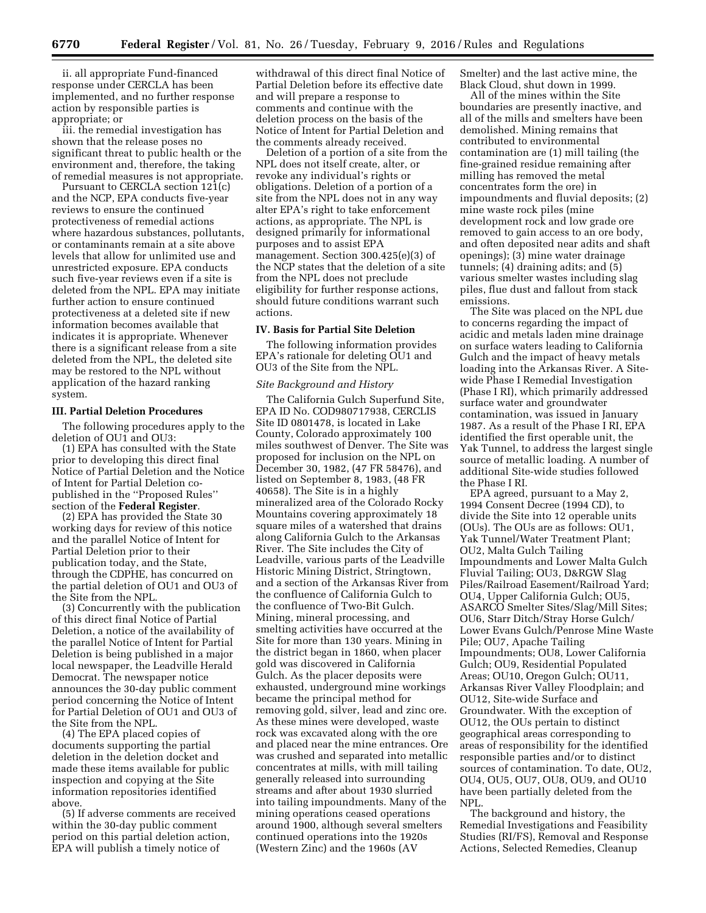ii. all appropriate Fund-financed response under CERCLA has been implemented, and no further response action by responsible parties is appropriate; or

iii. the remedial investigation has shown that the release poses no significant threat to public health or the environment and, therefore, the taking of remedial measures is not appropriate.

Pursuant to CERCLA section 121(c) and the NCP, EPA conducts five-year reviews to ensure the continued protectiveness of remedial actions where hazardous substances, pollutants, or contaminants remain at a site above levels that allow for unlimited use and unrestricted exposure. EPA conducts such five-year reviews even if a site is deleted from the NPL. EPA may initiate further action to ensure continued protectiveness at a deleted site if new information becomes available that indicates it is appropriate. Whenever there is a significant release from a site deleted from the NPL, the deleted site may be restored to the NPL without application of the hazard ranking system.

## **III. Partial Deletion Procedures**

The following procedures apply to the deletion of OU1 and OU3:

(1) EPA has consulted with the State prior to developing this direct final Notice of Partial Deletion and the Notice of Intent for Partial Deletion copublished in the ''Proposed Rules'' section of the **Federal Register**.

(2) EPA has provided the State 30 working days for review of this notice and the parallel Notice of Intent for Partial Deletion prior to their publication today, and the State, through the CDPHE, has concurred on the partial deletion of OU1 and OU3 of the Site from the NPL.

(3) Concurrently with the publication of this direct final Notice of Partial Deletion, a notice of the availability of the parallel Notice of Intent for Partial Deletion is being published in a major local newspaper, the Leadville Herald Democrat. The newspaper notice announces the 30-day public comment period concerning the Notice of Intent for Partial Deletion of OU1 and OU3 of the Site from the NPL.

(4) The EPA placed copies of documents supporting the partial deletion in the deletion docket and made these items available for public inspection and copying at the Site information repositories identified above.

(5) If adverse comments are received within the 30-day public comment period on this partial deletion action, EPA will publish a timely notice of

withdrawal of this direct final Notice of Partial Deletion before its effective date and will prepare a response to comments and continue with the deletion process on the basis of the Notice of Intent for Partial Deletion and the comments already received.

Deletion of a portion of a site from the NPL does not itself create, alter, or revoke any individual's rights or obligations. Deletion of a portion of a site from the NPL does not in any way alter EPA's right to take enforcement actions, as appropriate. The NPL is designed primarily for informational purposes and to assist EPA management. Section 300.425(e)(3) of the NCP states that the deletion of a site from the NPL does not preclude eligibility for further response actions, should future conditions warrant such actions.

### **IV. Basis for Partial Site Deletion**

The following information provides EPA's rationale for deleting OU1 and OU3 of the Site from the NPL.

### *Site Background and History*

The California Gulch Superfund Site, EPA ID No. COD980717938, CERCLIS Site ID 0801478, is located in Lake County, Colorado approximately 100 miles southwest of Denver. The Site was proposed for inclusion on the NPL on December 30, 1982, (47 FR 58476), and listed on September 8, 1983, (48 FR 40658). The Site is in a highly mineralized area of the Colorado Rocky Mountains covering approximately 18 square miles of a watershed that drains along California Gulch to the Arkansas River. The Site includes the City of Leadville, various parts of the Leadville Historic Mining District, Stringtown, and a section of the Arkansas River from the confluence of California Gulch to the confluence of Two-Bit Gulch. Mining, mineral processing, and smelting activities have occurred at the Site for more than 130 years. Mining in the district began in 1860, when placer gold was discovered in California Gulch. As the placer deposits were exhausted, underground mine workings became the principal method for removing gold, silver, lead and zinc ore. As these mines were developed, waste rock was excavated along with the ore and placed near the mine entrances. Ore was crushed and separated into metallic concentrates at mills, with mill tailing generally released into surrounding streams and after about 1930 slurried into tailing impoundments. Many of the mining operations ceased operations around 1900, although several smelters continued operations into the 1920s (Western Zinc) and the 1960s (AV

Smelter) and the last active mine, the Black Cloud, shut down in 1999.

All of the mines within the Site boundaries are presently inactive, and all of the mills and smelters have been demolished. Mining remains that contributed to environmental contamination are (1) mill tailing (the fine-grained residue remaining after milling has removed the metal concentrates form the ore) in impoundments and fluvial deposits; (2) mine waste rock piles (mine development rock and low grade ore removed to gain access to an ore body, and often deposited near adits and shaft openings); (3) mine water drainage tunnels; (4) draining adits; and (5) various smelter wastes including slag piles, flue dust and fallout from stack emissions.

The Site was placed on the NPL due to concerns regarding the impact of acidic and metals laden mine drainage on surface waters leading to California Gulch and the impact of heavy metals loading into the Arkansas River. A Sitewide Phase I Remedial Investigation (Phase I RI), which primarily addressed surface water and groundwater contamination, was issued in January 1987. As a result of the Phase I RI, EPA identified the first operable unit, the Yak Tunnel, to address the largest single source of metallic loading. A number of additional Site-wide studies followed the Phase I RI.

EPA agreed, pursuant to a May 2, 1994 Consent Decree (1994 CD), to divide the Site into 12 operable units (OUs). The OUs are as follows: OU1, Yak Tunnel/Water Treatment Plant; OU2, Malta Gulch Tailing Impoundments and Lower Malta Gulch Fluvial Tailing; OU3, D&RGW Slag Piles/Railroad Easement/Railroad Yard; OU4, Upper California Gulch; OU5, ASARCO Smelter Sites/Slag/Mill Sites; OU6, Starr Ditch/Stray Horse Gulch/ Lower Evans Gulch/Penrose Mine Waste Pile; OU7, Apache Tailing Impoundments; OU8, Lower California Gulch; OU9, Residential Populated Areas; OU10, Oregon Gulch; OU11, Arkansas River Valley Floodplain; and OU12, Site-wide Surface and Groundwater. With the exception of OU12, the OUs pertain to distinct geographical areas corresponding to areas of responsibility for the identified responsible parties and/or to distinct sources of contamination. To date, OU2, OU4, OU5, OU7, OU8, OU9, and OU10 have been partially deleted from the NPL.

The background and history, the Remedial Investigations and Feasibility Studies (RI/FS), Removal and Response Actions, Selected Remedies, Cleanup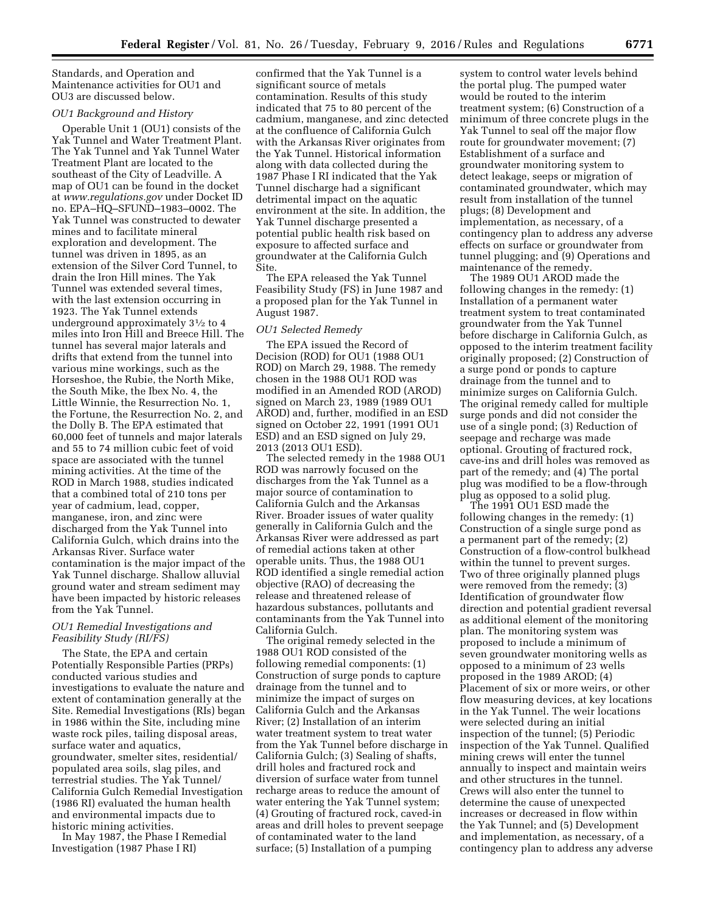Standards, and Operation and Maintenance activities for OU1 and OU3 are discussed below.

### *OU1 Background and History*

Operable Unit 1 (OU1) consists of the Yak Tunnel and Water Treatment Plant. The Yak Tunnel and Yak Tunnel Water Treatment Plant are located to the southeast of the City of Leadville. A map of OU1 can be found in the docket at *[www.regulations.gov](http://www.regulations.gov)* under Docket ID no. EPA–HQ–SFUND–1983–0002. The Yak Tunnel was constructed to dewater mines and to facilitate mineral exploration and development. The tunnel was driven in 1895, as an extension of the Silver Cord Tunnel, to drain the Iron Hill mines. The Yak Tunnel was extended several times, with the last extension occurring in 1923. The Yak Tunnel extends underground approximately 31⁄2 to 4 miles into Iron Hill and Breece Hill. The tunnel has several major laterals and drifts that extend from the tunnel into various mine workings, such as the Horseshoe, the Rubie, the North Mike, the South Mike, the Ibex No. 4, the Little Winnie, the Resurrection No. 1, the Fortune, the Resurrection No. 2, and the Dolly B. The EPA estimated that 60,000 feet of tunnels and major laterals and 55 to 74 million cubic feet of void space are associated with the tunnel mining activities. At the time of the ROD in March 1988, studies indicated that a combined total of 210 tons per year of cadmium, lead, copper, manganese, iron, and zinc were discharged from the Yak Tunnel into California Gulch, which drains into the Arkansas River. Surface water contamination is the major impact of the Yak Tunnel discharge. Shallow alluvial ground water and stream sediment may have been impacted by historic releases from the Yak Tunnel.

## *OU1 Remedial Investigations and Feasibility Study (RI/FS)*

The State, the EPA and certain Potentially Responsible Parties (PRPs) conducted various studies and investigations to evaluate the nature and extent of contamination generally at the Site. Remedial Investigations (RIs) began in 1986 within the Site, including mine waste rock piles, tailing disposal areas, surface water and aquatics, groundwater, smelter sites, residential/ populated area soils, slag piles, and terrestrial studies. The Yak Tunnel/ California Gulch Remedial Investigation (1986 RI) evaluated the human health and environmental impacts due to historic mining activities.

In May 1987, the Phase I Remedial Investigation (1987 Phase I RI)

confirmed that the Yak Tunnel is a significant source of metals contamination. Results of this study indicated that 75 to 80 percent of the cadmium, manganese, and zinc detected at the confluence of California Gulch with the Arkansas River originates from the Yak Tunnel. Historical information along with data collected during the 1987 Phase I RI indicated that the Yak Tunnel discharge had a significant detrimental impact on the aquatic environment at the site. In addition, the Yak Tunnel discharge presented a potential public health risk based on exposure to affected surface and groundwater at the California Gulch Site.

The EPA released the Yak Tunnel Feasibility Study (FS) in June 1987 and a proposed plan for the Yak Tunnel in August 1987.

## *OU1 Selected Remedy*

The EPA issued the Record of Decision (ROD) for OU1 (1988 OU1 ROD) on March 29, 1988. The remedy chosen in the 1988 OU1 ROD was modified in an Amended ROD (AROD) signed on March 23, 1989 (1989 OU1 AROD) and, further, modified in an ESD signed on October 22, 1991 (1991 OU1 ESD) and an ESD signed on July 29, 2013 (2013 OU1 ESD).

The selected remedy in the 1988 OU1 ROD was narrowly focused on the discharges from the Yak Tunnel as a major source of contamination to California Gulch and the Arkansas River. Broader issues of water quality generally in California Gulch and the Arkansas River were addressed as part of remedial actions taken at other operable units. Thus, the 1988 OU1 ROD identified a single remedial action objective (RAO) of decreasing the release and threatened release of hazardous substances, pollutants and contaminants from the Yak Tunnel into California Gulch.

The original remedy selected in the 1988 OU1 ROD consisted of the following remedial components: (1) Construction of surge ponds to capture drainage from the tunnel and to minimize the impact of surges on California Gulch and the Arkansas River; (2) Installation of an interim water treatment system to treat water from the Yak Tunnel before discharge in California Gulch; (3) Sealing of shafts, drill holes and fractured rock and diversion of surface water from tunnel recharge areas to reduce the amount of water entering the Yak Tunnel system; (4) Grouting of fractured rock, caved-in areas and drill holes to prevent seepage of contaminated water to the land surface; (5) Installation of a pumping

system to control water levels behind the portal plug. The pumped water would be routed to the interim treatment system; (6) Construction of a minimum of three concrete plugs in the Yak Tunnel to seal off the major flow route for groundwater movement; (7) Establishment of a surface and groundwater monitoring system to detect leakage, seeps or migration of contaminated groundwater, which may result from installation of the tunnel plugs; (8) Development and implementation, as necessary, of a contingency plan to address any adverse effects on surface or groundwater from tunnel plugging; and (9) Operations and maintenance of the remedy.

The 1989 OU1 AROD made the following changes in the remedy: (1) Installation of a permanent water treatment system to treat contaminated groundwater from the Yak Tunnel before discharge in California Gulch, as opposed to the interim treatment facility originally proposed; (2) Construction of a surge pond or ponds to capture drainage from the tunnel and to minimize surges on California Gulch. The original remedy called for multiple surge ponds and did not consider the use of a single pond; (3) Reduction of seepage and recharge was made optional. Grouting of fractured rock, cave-ins and drill holes was removed as part of the remedy; and (4) The portal plug was modified to be a flow-through plug as opposed to a solid plug.

The 1991 OU1 ESD made the following changes in the remedy: (1) Construction of a single surge pond as a permanent part of the remedy; (2) Construction of a flow-control bulkhead within the tunnel to prevent surges. Two of three originally planned plugs were removed from the remedy; (3) Identification of groundwater flow direction and potential gradient reversal as additional element of the monitoring plan. The monitoring system was proposed to include a minimum of seven groundwater monitoring wells as opposed to a minimum of 23 wells proposed in the 1989 AROD; (4) Placement of six or more weirs, or other flow measuring devices, at key locations in the Yak Tunnel. The weir locations were selected during an initial inspection of the tunnel; (5) Periodic inspection of the Yak Tunnel. Qualified mining crews will enter the tunnel annually to inspect and maintain weirs and other structures in the tunnel. Crews will also enter the tunnel to determine the cause of unexpected increases or decreased in flow within the Yak Tunnel; and (5) Development and implementation, as necessary, of a contingency plan to address any adverse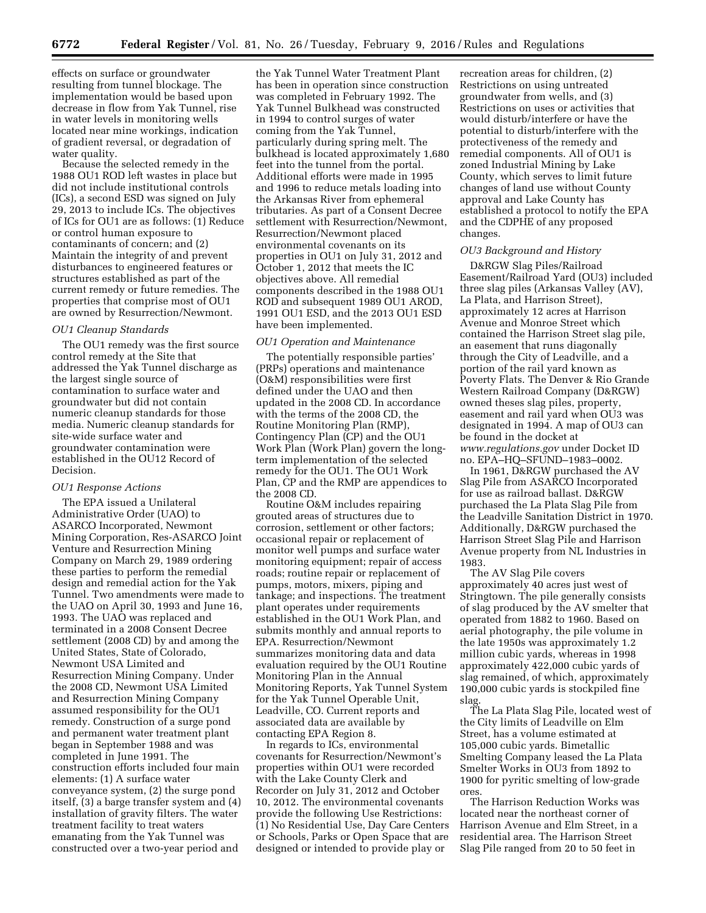effects on surface or groundwater resulting from tunnel blockage. The implementation would be based upon decrease in flow from Yak Tunnel, rise in water levels in monitoring wells located near mine workings, indication of gradient reversal, or degradation of water quality.

Because the selected remedy in the 1988 OU1 ROD left wastes in place but did not include institutional controls (ICs), a second ESD was signed on July 29, 2013 to include ICs. The objectives of ICs for OU1 are as follows: (1) Reduce or control human exposure to contaminants of concern; and (2) Maintain the integrity of and prevent disturbances to engineered features or structures established as part of the current remedy or future remedies. The properties that comprise most of OU1 are owned by Resurrection/Newmont.

### *OU1 Cleanup Standards*

The OU1 remedy was the first source control remedy at the Site that addressed the Yak Tunnel discharge as the largest single source of contamination to surface water and groundwater but did not contain numeric cleanup standards for those media. Numeric cleanup standards for site-wide surface water and groundwater contamination were established in the OU12 Record of Decision.

#### *OU1 Response Actions*

The EPA issued a Unilateral Administrative Order (UAO) to ASARCO Incorporated, Newmont Mining Corporation, Res-ASARCO Joint Venture and Resurrection Mining Company on March 29, 1989 ordering these parties to perform the remedial design and remedial action for the Yak Tunnel. Two amendments were made to the UAO on April 30, 1993 and June 16, 1993. The UAO was replaced and terminated in a 2008 Consent Decree settlement (2008 CD) by and among the United States, State of Colorado, Newmont USA Limited and Resurrection Mining Company. Under the 2008 CD, Newmont USA Limited and Resurrection Mining Company assumed responsibility for the OU1 remedy. Construction of a surge pond and permanent water treatment plant began in September 1988 and was completed in June 1991. The construction efforts included four main elements: (1) A surface water conveyance system, (2) the surge pond itself, (3) a barge transfer system and (4) installation of gravity filters. The water treatment facility to treat waters emanating from the Yak Tunnel was constructed over a two-year period and

the Yak Tunnel Water Treatment Plant has been in operation since construction was completed in February 1992. The Yak Tunnel Bulkhead was constructed in 1994 to control surges of water coming from the Yak Tunnel, particularly during spring melt. The bulkhead is located approximately 1,680 feet into the tunnel from the portal. Additional efforts were made in 1995 and 1996 to reduce metals loading into the Arkansas River from ephemeral tributaries. As part of a Consent Decree settlement with Resurrection/Newmont, Resurrection/Newmont placed environmental covenants on its properties in OU1 on July 31, 2012 and October 1, 2012 that meets the IC objectives above. All remedial components described in the 1988 OU1 ROD and subsequent 1989 OU1 AROD, 1991 OU1 ESD, and the 2013 OU1 ESD have been implemented.

## *OU1 Operation and Maintenance*

The potentially responsible parties' (PRPs) operations and maintenance (O&M) responsibilities were first defined under the UAO and then updated in the 2008 CD. In accordance with the terms of the 2008 CD, the Routine Monitoring Plan (RMP), Contingency Plan (CP) and the OU1 Work Plan (Work Plan) govern the longterm implementation of the selected remedy for the OU1. The OU1 Work Plan, CP and the RMP are appendices to the 2008 CD.

Routine O&M includes repairing grouted areas of structures due to corrosion, settlement or other factors; occasional repair or replacement of monitor well pumps and surface water monitoring equipment; repair of access roads; routine repair or replacement of pumps, motors, mixers, piping and tankage; and inspections. The treatment plant operates under requirements established in the OU1 Work Plan, and submits monthly and annual reports to EPA. Resurrection/Newmont summarizes monitoring data and data evaluation required by the OU1 Routine Monitoring Plan in the Annual Monitoring Reports, Yak Tunnel System for the Yak Tunnel Operable Unit, Leadville, CO. Current reports and associated data are available by contacting EPA Region 8.

In regards to ICs, environmental covenants for Resurrection/Newmont's properties within OU1 were recorded with the Lake County Clerk and Recorder on July 31, 2012 and October 10, 2012. The environmental covenants provide the following Use Restrictions: (1) No Residential Use, Day Care Centers or Schools, Parks or Open Space that are designed or intended to provide play or

recreation areas for children, (2) Restrictions on using untreated groundwater from wells, and (3) Restrictions on uses or activities that would disturb/interfere or have the potential to disturb/interfere with the protectiveness of the remedy and remedial components. All of OU1 is zoned Industrial Mining by Lake County, which serves to limit future changes of land use without County approval and Lake County has established a protocol to notify the EPA and the CDPHE of any proposed changes.

### *OU3 Background and History*

D&RGW Slag Piles/Railroad Easement/Railroad Yard (OU3) included three slag piles (Arkansas Valley (AV), La Plata, and Harrison Street), approximately 12 acres at Harrison Avenue and Monroe Street which contained the Harrison Street slag pile, an easement that runs diagonally through the City of Leadville, and a portion of the rail yard known as Poverty Flats. The Denver & Rio Grande Western Railroad Company (D&RGW) owned theses slag piles, property, easement and rail yard when OU3 was designated in 1994. A map of OU3 can be found in the docket at *[www.regulations.gov](http://www.regulations.gov)* under Docket ID no. EPA–HQ–SFUND–1983–0002.

In 1961, D&RGW purchased the AV Slag Pile from ASARCO Incorporated for use as railroad ballast. D&RGW purchased the La Plata Slag Pile from the Leadville Sanitation District in 1970. Additionally, D&RGW purchased the Harrison Street Slag Pile and Harrison Avenue property from NL Industries in 1983.

The AV Slag Pile covers approximately 40 acres just west of Stringtown. The pile generally consists of slag produced by the AV smelter that operated from 1882 to 1960. Based on aerial photography, the pile volume in the late 1950s was approximately 1.2 million cubic yards, whereas in 1998 approximately 422,000 cubic yards of slag remained, of which, approximately 190,000 cubic yards is stockpiled fine slag.

The La Plata Slag Pile, located west of the City limits of Leadville on Elm Street, has a volume estimated at 105,000 cubic yards. Bimetallic Smelting Company leased the La Plata Smelter Works in OU3 from 1892 to 1900 for pyritic smelting of low-grade ores.

The Harrison Reduction Works was located near the northeast corner of Harrison Avenue and Elm Street, in a residential area. The Harrison Street Slag Pile ranged from 20 to 50 feet in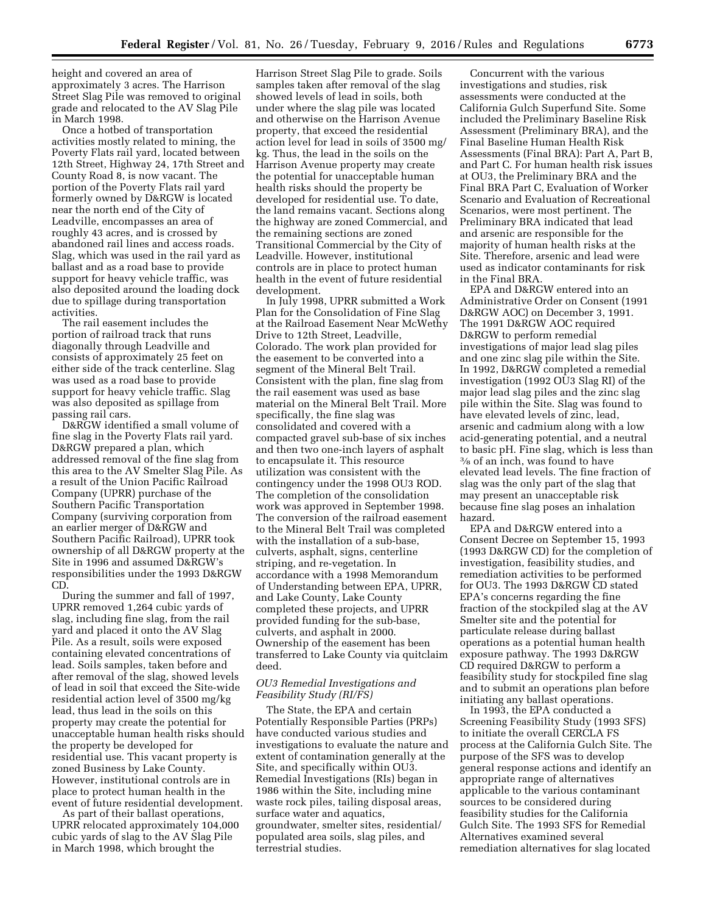height and covered an area of approximately 3 acres. The Harrison Street Slag Pile was removed to original grade and relocated to the AV Slag Pile in March 1998.

Once a hotbed of transportation activities mostly related to mining, the Poverty Flats rail yard, located between 12th Street, Highway 24, 17th Street and County Road 8, is now vacant. The portion of the Poverty Flats rail yard formerly owned by D&RGW is located near the north end of the City of Leadville, encompasses an area of roughly 43 acres, and is crossed by abandoned rail lines and access roads. Slag, which was used in the rail yard as ballast and as a road base to provide support for heavy vehicle traffic, was also deposited around the loading dock due to spillage during transportation activities.

The rail easement includes the portion of railroad track that runs diagonally through Leadville and consists of approximately 25 feet on either side of the track centerline. Slag was used as a road base to provide support for heavy vehicle traffic. Slag was also deposited as spillage from passing rail cars.

D&RGW identified a small volume of fine slag in the Poverty Flats rail yard. D&RGW prepared a plan, which addressed removal of the fine slag from this area to the AV Smelter Slag Pile. As a result of the Union Pacific Railroad Company (UPRR) purchase of the Southern Pacific Transportation Company (surviving corporation from an earlier merger of D&RGW and Southern Pacific Railroad), UPRR took ownership of all D&RGW property at the Site in 1996 and assumed D&RGW's responsibilities under the 1993 D&RGW CD.

During the summer and fall of 1997, UPRR removed 1,264 cubic yards of slag, including fine slag, from the rail yard and placed it onto the AV Slag Pile. As a result, soils were exposed containing elevated concentrations of lead. Soils samples, taken before and after removal of the slag, showed levels of lead in soil that exceed the Site-wide residential action level of 3500 mg/kg lead, thus lead in the soils on this property may create the potential for unacceptable human health risks should the property be developed for residential use. This vacant property is zoned Business by Lake County. However, institutional controls are in place to protect human health in the event of future residential development.

As part of their ballast operations, UPRR relocated approximately 104,000 cubic yards of slag to the AV Slag Pile in March 1998, which brought the

Harrison Street Slag Pile to grade. Soils samples taken after removal of the slag showed levels of lead in soils, both under where the slag pile was located and otherwise on the Harrison Avenue property, that exceed the residential action level for lead in soils of 3500 mg/ kg. Thus, the lead in the soils on the Harrison Avenue property may create the potential for unacceptable human health risks should the property be developed for residential use. To date, the land remains vacant. Sections along the highway are zoned Commercial, and the remaining sections are zoned Transitional Commercial by the City of Leadville. However, institutional controls are in place to protect human health in the event of future residential development.

In July 1998, UPRR submitted a Work Plan for the Consolidation of Fine Slag at the Railroad Easement Near McWethy Drive to 12th Street, Leadville, Colorado. The work plan provided for the easement to be converted into a segment of the Mineral Belt Trail. Consistent with the plan, fine slag from the rail easement was used as base material on the Mineral Belt Trail. More specifically, the fine slag was consolidated and covered with a compacted gravel sub-base of six inches and then two one-inch layers of asphalt to encapsulate it. This resource utilization was consistent with the contingency under the 1998 OU3 ROD. The completion of the consolidation work was approved in September 1998. The conversion of the railroad easement to the Mineral Belt Trail was completed with the installation of a sub-base, culverts, asphalt, signs, centerline striping, and re-vegetation. In accordance with a 1998 Memorandum of Understanding between EPA, UPRR, and Lake County, Lake County completed these projects, and UPRR provided funding for the sub-base, culverts, and asphalt in 2000. Ownership of the easement has been transferred to Lake County via quitclaim deed.

## *OU3 Remedial Investigations and Feasibility Study (RI/FS)*

The State, the EPA and certain Potentially Responsible Parties (PRPs) have conducted various studies and investigations to evaluate the nature and extent of contamination generally at the Site, and specifically within OU3. Remedial Investigations (RIs) began in 1986 within the Site, including mine waste rock piles, tailing disposal areas, surface water and aquatics, groundwater, smelter sites, residential/ populated area soils, slag piles, and terrestrial studies.

Concurrent with the various investigations and studies, risk assessments were conducted at the California Gulch Superfund Site. Some included the Preliminary Baseline Risk Assessment (Preliminary BRA), and the Final Baseline Human Health Risk Assessments (Final BRA): Part A, Part B, and Part C. For human health risk issues at OU3, the Preliminary BRA and the Final BRA Part C, Evaluation of Worker Scenario and Evaluation of Recreational Scenarios, were most pertinent. The Preliminary BRA indicated that lead and arsenic are responsible for the majority of human health risks at the Site. Therefore, arsenic and lead were used as indicator contaminants for risk in the Final BRA.

EPA and D&RGW entered into an Administrative Order on Consent (1991 D&RGW AOC) on December 3, 1991. The 1991 D&RGW AOC required D&RGW to perform remedial investigations of major lead slag piles and one zinc slag pile within the Site. In 1992, D&RGW completed a remedial investigation (1992 OU3 Slag RI) of the major lead slag piles and the zinc slag pile within the Site. Slag was found to have elevated levels of zinc, lead, arsenic and cadmium along with a low acid-generating potential, and a neutral to basic pH. Fine slag, which is less than 3⁄8 of an inch, was found to have elevated lead levels. The fine fraction of slag was the only part of the slag that may present an unacceptable risk because fine slag poses an inhalation hazard.

EPA and D&RGW entered into a Consent Decree on September 15, 1993 (1993 D&RGW CD) for the completion of investigation, feasibility studies, and remediation activities to be performed for OU3. The 1993 D&RGW CD stated EPA's concerns regarding the fine fraction of the stockpiled slag at the AV Smelter site and the potential for particulate release during ballast operations as a potential human health exposure pathway. The 1993 D&RGW CD required D&RGW to perform a feasibility study for stockpiled fine slag and to submit an operations plan before initiating any ballast operations.

In 1993, the EPA conducted a Screening Feasibility Study (1993 SFS) to initiate the overall CERCLA FS process at the California Gulch Site. The purpose of the SFS was to develop general response actions and identify an appropriate range of alternatives applicable to the various contaminant sources to be considered during feasibility studies for the California Gulch Site. The 1993 SFS for Remedial Alternatives examined several remediation alternatives for slag located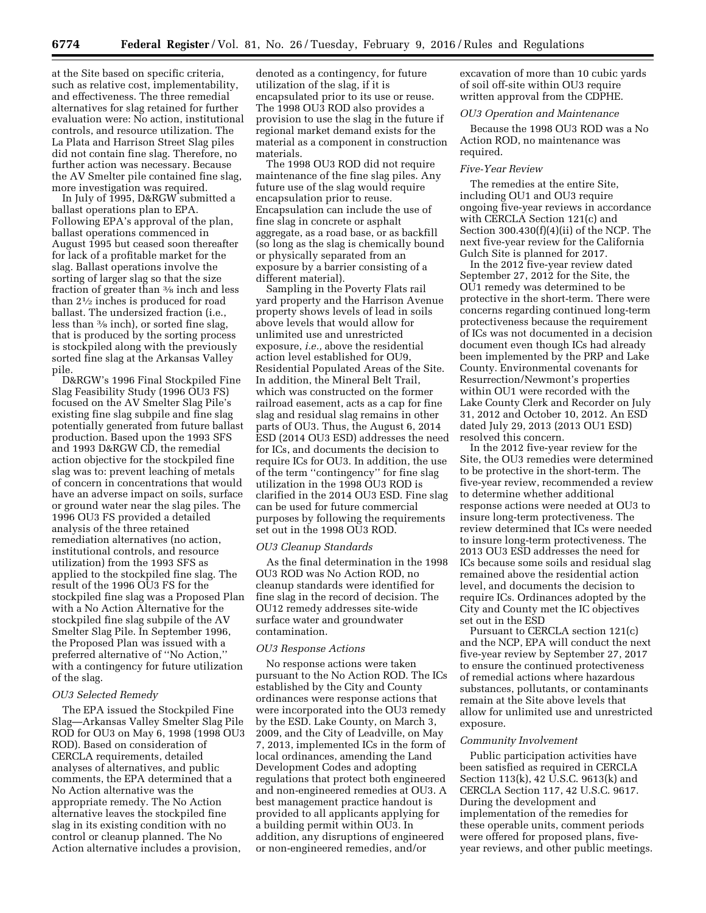at the Site based on specific criteria, such as relative cost, implementability, and effectiveness. The three remedial alternatives for slag retained for further evaluation were: No action, institutional controls, and resource utilization. The La Plata and Harrison Street Slag piles did not contain fine slag. Therefore, no further action was necessary. Because the AV Smelter pile contained fine slag, more investigation was required.

In July of 1995, D&RGW submitted a ballast operations plan to EPA. Following EPA's approval of the plan, ballast operations commenced in August 1995 but ceased soon thereafter for lack of a profitable market for the slag. Ballast operations involve the sorting of larger slag so that the size fraction of greater than 3⁄8 inch and less than 21⁄2 inches is produced for road ballast. The undersized fraction (i.e., less than 3⁄8 inch), or sorted fine slag, that is produced by the sorting process is stockpiled along with the previously sorted fine slag at the Arkansas Valley pile.

D&RGW's 1996 Final Stockpiled Fine Slag Feasibility Study (1996 OU3 FS) focused on the AV Smelter Slag Pile's existing fine slag subpile and fine slag potentially generated from future ballast production. Based upon the 1993 SFS and 1993 D&RGW CD, the remedial action objective for the stockpiled fine slag was to: prevent leaching of metals of concern in concentrations that would have an adverse impact on soils, surface or ground water near the slag piles. The 1996 OU3 FS provided a detailed analysis of the three retained remediation alternatives (no action, institutional controls, and resource utilization) from the 1993 SFS as applied to the stockpiled fine slag. The result of the 1996 OU3 FS for the stockpiled fine slag was a Proposed Plan with a No Action Alternative for the stockpiled fine slag subpile of the AV Smelter Slag Pile. In September 1996, the Proposed Plan was issued with a preferred alternative of ''No Action,'' with a contingency for future utilization of the slag.

### *OU3 Selected Remedy*

The EPA issued the Stockpiled Fine Slag—Arkansas Valley Smelter Slag Pile ROD for OU3 on May 6, 1998 (1998 OU3 ROD). Based on consideration of CERCLA requirements, detailed analyses of alternatives, and public comments, the EPA determined that a No Action alternative was the appropriate remedy. The No Action alternative leaves the stockpiled fine slag in its existing condition with no control or cleanup planned. The No Action alternative includes a provision,

denoted as a contingency, for future utilization of the slag, if it is encapsulated prior to its use or reuse. The 1998 OU3 ROD also provides a provision to use the slag in the future if regional market demand exists for the material as a component in construction materials.

The 1998 OU3 ROD did not require maintenance of the fine slag piles. Any future use of the slag would require encapsulation prior to reuse. Encapsulation can include the use of fine slag in concrete or asphalt aggregate, as a road base, or as backfill (so long as the slag is chemically bound or physically separated from an exposure by a barrier consisting of a different material).

Sampling in the Poverty Flats rail yard property and the Harrison Avenue property shows levels of lead in soils above levels that would allow for unlimited use and unrestricted exposure, *i.e.,* above the residential action level established for OU9, Residential Populated Areas of the Site. In addition, the Mineral Belt Trail, which was constructed on the former railroad easement, acts as a cap for fine slag and residual slag remains in other parts of OU3. Thus, the August 6, 2014 ESD (2014 OU3 ESD) addresses the need for ICs, and documents the decision to require ICs for OU3. In addition, the use of the term ''contingency'' for fine slag utilization in the 1998 OU3 ROD is clarified in the 2014 OU3 ESD. Fine slag can be used for future commercial purposes by following the requirements set out in the 1998 OU3 ROD.

#### *OU3 Cleanup Standards*

As the final determination in the 1998 OU3 ROD was No Action ROD, no cleanup standards were identified for fine slag in the record of decision. The OU12 remedy addresses site-wide surface water and groundwater contamination.

### *OU3 Response Actions*

No response actions were taken pursuant to the No Action ROD. The ICs established by the City and County ordinances were response actions that were incorporated into the OU3 remedy by the ESD. Lake County, on March 3, 2009, and the City of Leadville, on May 7, 2013, implemented ICs in the form of local ordinances, amending the Land Development Codes and adopting regulations that protect both engineered and non-engineered remedies at OU3. A best management practice handout is provided to all applicants applying for a building permit within OU3. In addition, any disruptions of engineered or non-engineered remedies, and/or

excavation of more than 10 cubic yards of soil off-site within OU3 require written approval from the CDPHE.

### *OU3 Operation and Maintenance*

Because the 1998 OU3 ROD was a No Action ROD, no maintenance was required.

### *Five-Year Review*

The remedies at the entire Site, including OU1 and OU3 require ongoing five-year reviews in accordance with CERCLA Section 121(c) and Section 300.430(f)(4)(ii) of the NCP. The next five-year review for the California Gulch Site is planned for 2017.

In the 2012 five-year review dated September 27, 2012 for the Site, the OU1 remedy was determined to be protective in the short-term. There were concerns regarding continued long-term protectiveness because the requirement of ICs was not documented in a decision document even though ICs had already been implemented by the PRP and Lake County. Environmental covenants for Resurrection/Newmont's properties within OU1 were recorded with the Lake County Clerk and Recorder on July 31, 2012 and October 10, 2012. An ESD dated July 29, 2013 (2013 OU1 ESD) resolved this concern.

In the 2012 five-year review for the Site, the OU3 remedies were determined to be protective in the short-term. The five-year review, recommended a review to determine whether additional response actions were needed at OU3 to insure long-term protectiveness. The review determined that ICs were needed to insure long-term protectiveness. The 2013 OU3 ESD addresses the need for ICs because some soils and residual slag remained above the residential action level, and documents the decision to require ICs. Ordinances adopted by the City and County met the IC objectives set out in the ESD

Pursuant to CERCLA section 121(c) and the NCP, EPA will conduct the next five-year review by September 27, 2017 to ensure the continued protectiveness of remedial actions where hazardous substances, pollutants, or contaminants remain at the Site above levels that allow for unlimited use and unrestricted exposure.

#### *Community Involvement*

Public participation activities have been satisfied as required in CERCLA Section 113(k), 42 U.S.C. 9613(k) and CERCLA Section 117, 42 U.S.C. 9617. During the development and implementation of the remedies for these operable units, comment periods were offered for proposed plans, fiveyear reviews, and other public meetings.